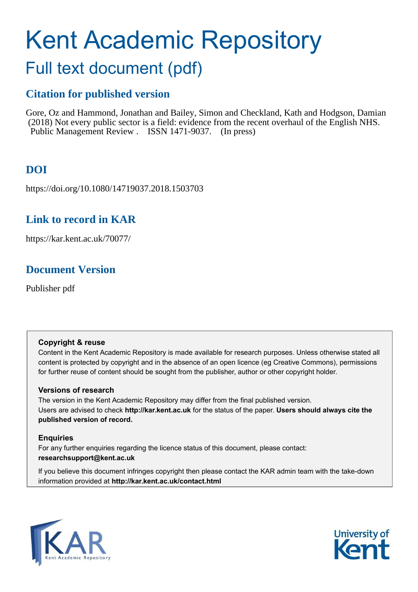# Kent Academic Repository

# Full text document (pdf)

# **Citation for published version**

Gore, Oz and Hammond, Jonathan and Bailey, Simon and Checkland, Kath and Hodgson, Damian (2018) Not every public sector is a field: evidence from the recent overhaul of the English NHS. Public Management Review . ISSN 1471-9037. (In press)

# **DOI**

https://doi.org/10.1080/14719037.2018.1503703

# **Link to record in KAR**

https://kar.kent.ac.uk/70077/

# **Document Version**

Publisher pdf

## **Copyright & reuse**

Content in the Kent Academic Repository is made available for research purposes. Unless otherwise stated all content is protected by copyright and in the absence of an open licence (eg Creative Commons), permissions for further reuse of content should be sought from the publisher, author or other copyright holder.

## **Versions of research**

The version in the Kent Academic Repository may differ from the final published version. Users are advised to check **http://kar.kent.ac.uk** for the status of the paper. **Users should always cite the published version of record.**

## **Enquiries**

For any further enquiries regarding the licence status of this document, please contact: **researchsupport@kent.ac.uk**

If you believe this document infringes copyright then please contact the KAR admin team with the take-down information provided at **http://kar.kent.ac.uk/contact.html**



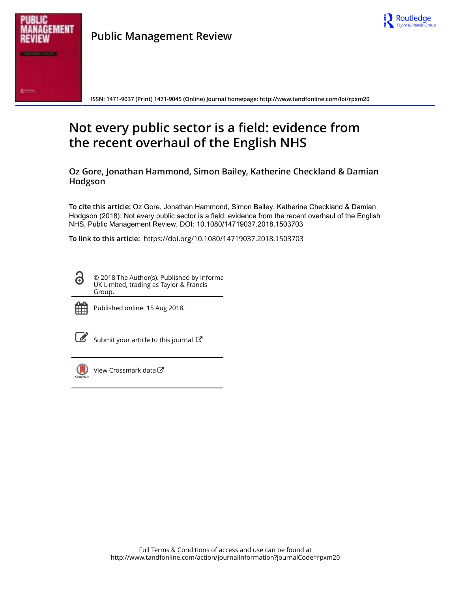



**ISSN: 1471-9037 (Print) 1471-9045 (Online) Journal homepage:<http://www.tandfonline.com/loi/rpxm20>**

# <span id="page-1-1"></span><span id="page-1-0"></span>**Not every public sector is a field: evidence from the recent overhaul of the English NHS**

**Oz Gore, Jonathan Hammond, Simon Bailey, Katherine Checkland & Damian Hodgson**

**To cite this article:** Oz Gore, Jonathan Hammond, Simon Bailey, Katherine Checkland & Damian Hodgson (2018): Not every public sector is a field: evidence from the recent overhaul of the English NHS, Public Management Review, DOI: [10.1080/14719037.2018.1503703](http://www.tandfonline.com/action/showCitFormats?doi=10.1080/14719037.2018.1503703)

**To link to this article:** <https://doi.org/10.1080/14719037.2018.1503703>

<u>ය</u> © 2018 The Author(s). Published by Informa UK Limited, trading as Taylor & Francis Group.

<span id="page-1-7"></span><span id="page-1-3"></span>

Published online: 15 Aug 2018.

[Submit your article to this journal](http://www.tandfonline.com/action/authorSubmission?journalCode=rpxm20&show=instructions)  $\mathbb{Z}$ 

<span id="page-1-6"></span><span id="page-1-5"></span><span id="page-1-4"></span><span id="page-1-2"></span>

[View Crossmark data](http://crossmark.crossref.org/dialog/?doi=10.1080/14719037.2018.1503703&domain=pdf&date_stamp=2018-08-15)<sup>C</sup>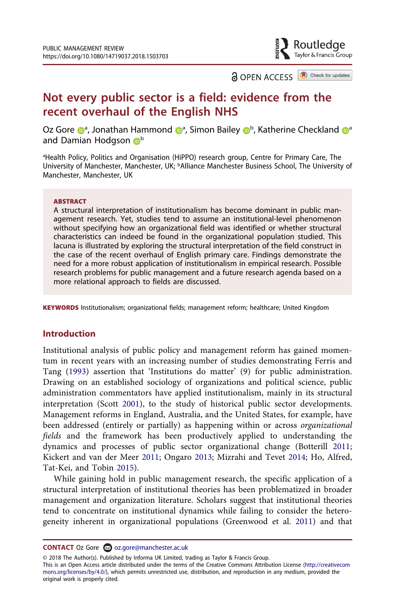Routledae Taylor & Francis Group

**a** OPEN ACCESS **a** Check for updates

# <span id="page-2-2"></span><span id="page-2-1"></span>Not every public sector is a field: evidence from the recent overhaul of the English NHS

Oz Gore <sub>●</sub> Jon[a](#page-1-0)than Hammon[d](http://orcid.org/0000-0002-4682-9514) ● Simon Bailey ● Katherine Checkland ● a[n](http://orcid.org/0000-0002-9292-5945)d Damian Hodgson D<sup>[b](#page-1-1)</sup>

<sup>a</sup>Health Policy, Politics and Organisation (HiPPO) research group, Centre for Primary Care, The University of Manchester, Manchester, UK; <sup>b</sup>Alliance Manchester Business School, The University of Manchester, Manchester, UK

#### ABSTRACT

A structural interpretation of institutionalism has become dominant in public management research. Yet, studies tend to assume an institutional-level phenomenon without specifying how an organizational field was identified or whether structural characteristics can indeed be found in the organizational population studied. This lacuna is illustrated by exploring the structural interpretation of the field construct in the case of the recent overhaul of English primary care. Findings demonstrate the need for a more robust application of institutionalism in empirical research. Possible research problems for public management and a future research agenda based on a more relational approach to fields are discussed.

KEYWORDS Institutionalism; organizational fields; management reform; healthcare; United Kingdom

#### **Introduction**

<span id="page-2-0"></span>Institutional analysis of public policy and management reform has gained momentum in recent years with an increasing number of studies demonstrating Ferris and Tang [\(1993](#page-20-0)) assertion that 'Institutions do matter' (9) for public administration. Drawing on an established sociology of organizations and political science, public administration commentators have applied institutionalism, mainly in its structural interpretation (Scott [2001](#page-22-0)), to the study of historical public sector developments. Management reforms in England, Australia, and the United States, for example, have been addressed (entirely or partially) as happening within or across *organizational fields* and the framework has been productively applied to understanding the dynamics and processes of public sector organizational change (Botterill [2011;](#page-19-0) Kickert and van der Meer [2011](#page-21-0); Ongaro [2013](#page-21-1); Mizrahi and Tevet [2014](#page-21-2); Ho, Alfred, Tat-Kei, and Tobin [2015\)](#page-20-1).

While gaining hold in public management research, the specific application of a structural interpretation of institutional theories has been problematized in broader management and organization literature. Scholars suggest that institutional theories tend to concentrate on institutional dynamics while failing to consider the heterogeneity inherent in organizational populations (Greenwood et al. [2011](#page-20-2)) and that

<span id="page-2-3"></span>CONTACT Oz Gore @ oz.gore@manchester.ac.uk

© 2018 The Author(s). Published by Informa UK Limited, trading as Taylor & Francis Group. This is an Open Access article distributed under the terms of the Creative Commons Attribution License (http://creativecom mons.org/licenses/by/4.0/), which permits unrestricted use, distribution, and reproduction in any medium, provided the original work is properly cited.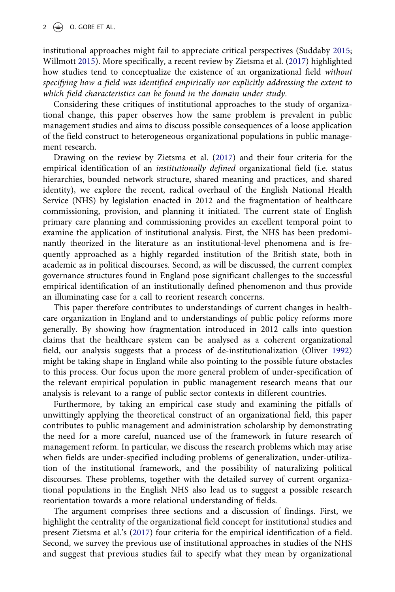institutional approaches might fail to appreciate critical perspectives (Suddaby [2015;](#page-22-1) Willmott [2015\)](#page-22-2). More specifically, a recent review by Zietsma et al. [\(2017](#page-22-3)) highlighted how studies tend to conceptualize the existence of an organizational field *without specifying how a field was identified empirically nor explicitly addressing the extent to which field characteristics can be found in the domain under study*.

Considering these critiques of institutional approaches to the study of organizational change, this paper observes how the same problem is prevalent in public management studies and aims to discuss possible consequences of a loose application of the field construct to heterogeneous organizational populations in public management research.

<span id="page-3-8"></span><span id="page-3-7"></span><span id="page-3-0"></span>Drawing on the review by Zietsma et al. [\(2017](#page-22-3)) and their four criteria for the empirical identification of an *institutionally defined* organizational field (i.e. status hierarchies, bounded network structure, shared meaning and practices, and shared identity), we explore the recent, radical overhaul of the English National Health Service (NHS) by legislation enacted in 2012 and the fragmentation of healthcare commissioning, provision, and planning it initiated. The current state of English primary care planning and commissioning provides an excellent temporal point to examine the application of institutional analysis. First, the NHS has been predominantly theorized in the literature as an institutional-level phenomena and is frequently approached as a highly regarded institution of the British state, both in academic as in political discourses. Second, as will be discussed, the current complex governance structures found in England pose significant challenges to the successful empirical identification of an institutionally defined phenomenon and thus provide an illuminating case for a call to reorient research concerns.

<span id="page-3-6"></span><span id="page-3-5"></span><span id="page-3-1"></span>This paper therefore contributes to understandings of current changes in healthcare organization in England and to understandings of public policy reforms more generally. By showing how fragmentation introduced in 2012 calls into question claims that the healthcare system can be analysed as a coherent organizational field, our analysis suggests that a process of de-institutionalization (Oliver [1992\)](#page-21-3) might be taking shape in England while also pointing to the possible future obstacles to this process. Our focus upon the more general problem of under-specification of the relevant empirical population in public management research means that our analysis is relevant to a range of public sector contexts in different countries.

<span id="page-3-4"></span><span id="page-3-3"></span><span id="page-3-2"></span>Furthermore, by taking an empirical case study and examining the pitfalls of unwittingly applying the theoretical construct of an organizational field, this paper contributes to public management and administration scholarship by demonstrating the need for a more careful, nuanced use of the framework in future research of management reform. In particular, we discuss the research problems which may arise when fields are under-specified including problems of generalization, under-utilization of the institutional framework, and the possibility of naturalizing political discourses. These problems, together with the detailed survey of current organizational populations in the English NHS also lead us to suggest a possible research reorientation towards a more relational understanding of fields.

<span id="page-3-9"></span>The argument comprises three sections and a discussion of findings. First, we highlight the centrality of the organizational field concept for institutional studies and present Zietsma et al.'s [\(2017\)](#page-22-3) four criteria for the empirical identification of a field. Second, we survey the previous use of institutional approaches in studies of the NHS and suggest that previous studies fail to specify what they mean by organizational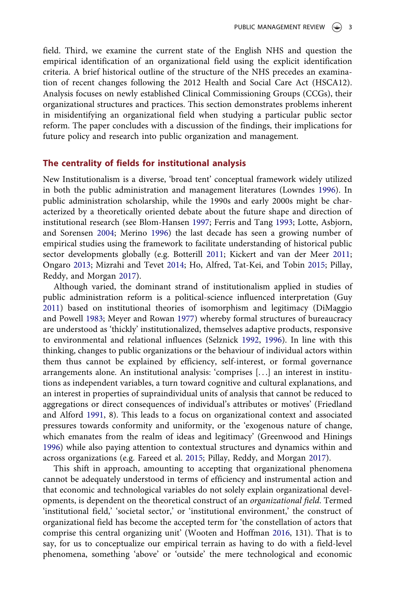<span id="page-4-4"></span>field. Third, we examine the current state of the English NHS and question the empirical identification of an organizational field using the explicit identification criteria. A brief historical outline of the structure of the NHS precedes an examination of recent changes following the 2012 Health and Social Care Act (HSCA12). Analysis focuses on newly established Clinical Commissioning Groups (CCGs), their organizational structures and practices. This section demonstrates problems inherent in misidentifying an organizational field when studying a particular public sector reform. The paper concludes with a discussion of the findings, their implications for future policy and research into public organization and management.

#### <span id="page-4-3"></span>The centrality of fields for institutional analysis

New Institutionalism is a diverse, 'broad tent' conceptual framework widely utilized in both the public administration and management literatures (Lowndes [1996\)](#page-21-4). In public administration scholarship, while the 1990s and early 2000s might be characterized by a theoretically oriented debate about the future shape and direction of institutional research (see Blom-Hansen [1997](#page-19-1); Ferris and Tang [1993;](#page-20-0) Lotte, Asbjorn, and Sorensen [2004;](#page-21-5) Merino [1996](#page-21-6)) the last decade has seen a growing number of empirical studies using the framework to facilitate understanding of historical public sector developments globally (e.g. Botterill [2011](#page-19-0); Kickert and van der Meer [2011;](#page-21-0) Ongaro [2013](#page-21-1); Mizrahi and Tevet [2014](#page-21-2); Ho, Alfred, Tat-Kei, and Tobin [2015;](#page-20-1) Pillay, Reddy, and Morgan [2017](#page-21-7)).

<span id="page-4-1"></span>Although varied, the dominant strand of institutionalism applied in studies of public administration reform is a political-science influenced interpretation (Guy [2011](#page-20-3)) based on institutional theories of isomorphism and legitimacy (DiMaggio and Powell [1983](#page-19-2); Meyer and Rowan [1977\)](#page-21-8) whereby formal structures of bureaucracy are understood as 'thickly' institutionalized, themselves adaptive products, responsive to environmental and relational influences (Selznick [1992,](#page-22-4) [1996](#page-20-4)). In line with this thinking, changes to public organizations or the behaviour of individual actors within them thus cannot be explained by efficiency, self-interest, or formal governance arrangements alone. An institutional analysis: 'comprises [. . .] an interest in institutions as independent variables, a turn toward cognitive and cultural explanations, and an interest in properties of supraindividual units of analysis that cannot be reduced to aggregations or direct consequences of individual's attributes or motives' (Friedland and Alford [1991](#page-20-5), 8). This leads to a focus on organizational context and associated pressures towards conformity and uniformity, or the 'exogenous nature of change, which emanates from the realm of ideas and legitimacy' (Greenwood and Hinings [1996](#page-20-6)) while also paying attention to contextual structures and dynamics within and across organizations (e.g. Fareed et al. [2015](#page-20-7); Pillay, Reddy, and Morgan [2017\)](#page-21-7).

<span id="page-4-2"></span><span id="page-4-0"></span>This shift in approach, amounting to accepting that organizational phenomena cannot be adequately understood in terms of efficiency and instrumental action and that economic and technological variables do not solely explain organizational developments, is dependent on the theoretical construct of an *organizational field*. Termed 'institutional field,' 'societal sector,' or 'institutional environment,' the construct of organizational field has become the accepted term for 'the constellation of actors that comprise this central organizing unit' (Wooten and Hoffman [2016](#page-22-5), 131). That is to say, for us to conceptualize our empirical terrain as having to do with a field-level phenomena, something 'above' or 'outside' the mere technological and economic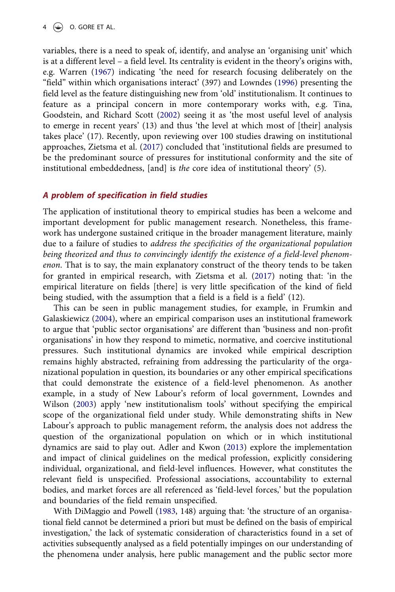variables, there is a need to speak of, identify, and analyse an 'organising unit' which is at a different level – a field level. Its centrality is evident in the theory's origins with, e.g. Warren ([1967\)](#page-22-6) indicating 'the need for research focusing deliberately on the "field" within which organisations interact' (397) and Lowndes ([1996\)](#page-21-4) presenting the field level as the feature distinguishing new from 'old' institutionalism. It continues to feature as a principal concern in more contemporary works with, e.g. Tina, Goodstein, and Richard Scott [\(2002](#page-22-7)) seeing it as 'the most useful level of analysis to emerge in recent years' (13) and thus 'the level at which most of [their] analysis takes place' (17). Recently, upon reviewing over 100 studies drawing on institutional approaches, Zietsma et al. ([2017](#page-22-3)) concluded that 'institutional fields are presumed to be the predominant source of pressures for institutional conformity and the site of institutional embeddedness, [and] is *the* core idea of institutional theory' (5).

#### A problem of specification in field studies

The application of institutional theory to empirical studies has been a welcome and important development for public management research. Nonetheless, this framework has undergone sustained critique in the broader management literature, mainly due to a failure of studies to *address the specificities of the organizational population being theorized and thus to convincingly identify the existence of a field-level phenomenon*. That is to say, the main explanatory construct of the theory tends to be taken for granted in empirical research, with Zietsma et al. [\(2017](#page-22-3)) noting that: 'in the empirical literature on fields [there] is very little specification of the kind of field being studied, with the assumption that a field is a field is a field' (12).

<span id="page-5-3"></span><span id="page-5-2"></span>This can be seen in public management studies, for example, in Frumkin and Galaskiewicz [\(2004\)](#page-20-8), where an empirical comparison uses an institutional framework to argue that 'public sector organisations' are different than 'business and non-profit organisations' in how they respond to mimetic, normative, and coercive institutional pressures. Such institutional dynamics are invoked while empirical description remains highly abstracted, refraining from addressing the particularity of the organizational population in question, its boundaries or any other empirical specifications that could demonstrate the existence of a field-level phenomenon. As another example, in a study of New Labour's reform of local government, Lowndes and Wilson [\(2003\)](#page-21-9) apply 'new institutionalism tools' without specifying the empirical scope of the organizational field under study. While demonstrating shifts in New Labour's approach to public management reform, the analysis does not address the question of the organizational population on which or in which institutional dynamics are said to play out. Adler and Kwon ([2013\)](#page-19-3) explore the implementation and impact of clinical guidelines on the medical profession, explicitly considering individual, organizational, and field-level influences. However, what constitutes the relevant field is unspecified. Professional associations, accountability to external bodies, and market forces are all referenced as 'field-level forces,' but the population and boundaries of the field remain unspecified.

<span id="page-5-5"></span><span id="page-5-4"></span><span id="page-5-1"></span><span id="page-5-0"></span>With DiMaggio and Powell ([1983](#page-19-2), 148) arguing that: 'the structure of an organisational field cannot be determined a priori but must be defined on the basis of empirical investigation,' the lack of systematic consideration of characteristics found in a set of activities subsequently analysed as a field potentially impinges on our understanding of the phenomena under analysis, here public management and the public sector more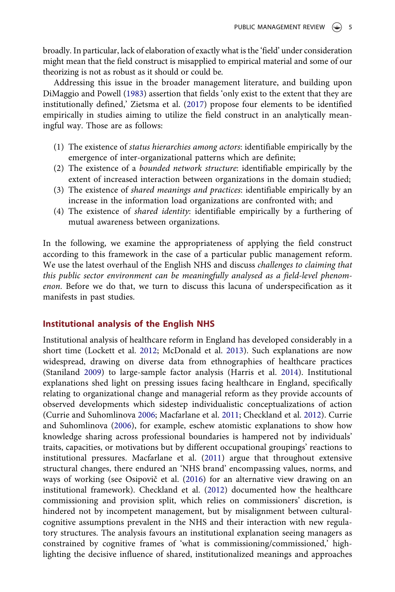<span id="page-6-1"></span>broadly. In particular, lack of elaboration of exactly what is the 'field' under consideration might mean that the field construct is misapplied to empirical material and some of our theorizing is not as robust as it should or could be.

Addressing this issue in the broader management literature, and building upon DiMaggio and Powell ([1983\)](#page-19-2) assertion that fields 'only exist to the extent that they are institutionally defined,' Zietsma et al. [\(2017](#page-22-3)) propose four elements to be identified empirically in studies aiming to utilize the field construct in an analytically meaningful way. Those are as follows:

- (1) The existence of *status hierarchies among actors*: identifiable empirically by the emergence of inter-organizational patterns which are definite;
- (2) The existence of a *bounded network structure*: identifiable empirically by the extent of increased interaction between organizations in the domain studied;
- (3) The existence of *shared meanings and practices*: identifiable empirically by an increase in the information load organizations are confronted with; and
- (4) The existence of *shared identity*: identifiable empirically by a furthering of mutual awareness between organizations.

<span id="page-6-2"></span>In the following, we examine the appropriateness of applying the field construct according to this framework in the case of a particular public management reform. We use the latest overhaul of the English NHS and discuss *challenges to claiming that this public sector environment can be meaningfully analysed as a field-level phenomenon*. Before we do that, we turn to discuss this lacuna of underspecification as it manifests in past studies.

#### Institutional analysis of the English NHS

<span id="page-6-0"></span>Institutional analysis of healthcare reform in England has developed considerably in a short time (Lockett et al. [2012;](#page-21-10) McDonald et al. [2013\)](#page-21-11). Such explanations are now widespread, drawing on diverse data from ethnographies of healthcare practices (Staniland [2009](#page-22-8)) to large-sample factor analysis (Harris et al. [2014\)](#page-20-9). Institutional explanations shed light on pressing issues facing healthcare in England, specifically relating to organizational change and managerial reform as they provide accounts of observed developments which sidestep individualistic conceptualizations of action (Currie and Suhomlinova [2006;](#page-19-4) Macfarlane et al. [2011;](#page-21-12) Checkland et al. [2012](#page-19-5)). Currie and Suhomlinova ([2006](#page-19-4)), for example, eschew atomistic explanations to show how knowledge sharing across professional boundaries is hampered not by individuals' traits, capacities, or motivations but by different occupational groupings' reactions to institutional pressures. Macfarlane et al. ([2011](#page-21-12)) argue that throughout extensive structural changes, there endured an 'NHS brand' encompassing values, norms, and ways of working (see Osipovič et al. ([2016](#page-21-13)) for an alternative view drawing on an institutional framework). Checkland et al. [\(2012](#page-19-5)) documented how the healthcare commissioning and provision split, which relies on commissioners' discretion, is hindered not by incompetent management, but by misalignment between culturalcognitive assumptions prevalent in the NHS and their interaction with new regulatory structures. The analysis favours an institutional explanation seeing managers as constrained by cognitive frames of 'what is commissioning/commissioned,' highlighting the decisive influence of shared, institutionalized meanings and approaches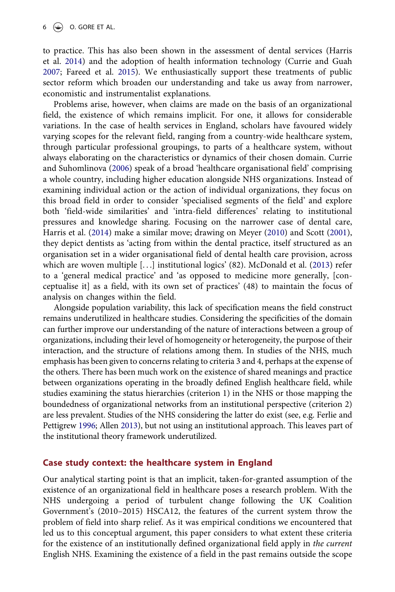to practice. This has also been shown in the assessment of dental services (Harris et al. [2014](#page-20-9)) and the adoption of health information technology (Currie and Guah [2007](#page-19-6); Fareed et al. [2015](#page-20-7)). We enthusiastically support these treatments of public sector reform which broaden our understanding and take us away from narrower, economistic and instrumentalist explanations.

Problems arise, however, when claims are made on the basis of an organizational field, the existence of which remains implicit. For one, it allows for considerable variations. In the case of health services in England, scholars have favoured widely varying scopes for the relevant field, ranging from a country-wide healthcare system, through particular professional groupings, to parts of a healthcare system, without always elaborating on the characteristics or dynamics of their chosen domain. Currie and Suhomlinova [\(2006\)](#page-19-4) speak of a broad 'healthcare organisational field' comprising a whole country, including higher education alongside NHS organizations. Instead of examining individual action or the action of individual organizations, they focus on this broad field in order to consider 'specialised segments of the field' and explore both 'field-wide similarities' and 'intra-field differences' relating to institutional pressures and knowledge sharing. Focusing on the narrower case of dental care, Harris et al. [\(2014\)](#page-20-9) make a similar move; drawing on Meyer [\(2010](#page-21-14)) and Scott [\(2001](#page-22-0)), they depict dentists as 'acting from within the dental practice, itself structured as an organisation set in a wider organisational field of dental health care provision, across which are woven multiple [. . .] institutional logics' (82). McDonald et al. ([2013](#page-21-11)) refer to a 'general medical practice' and 'as opposed to medicine more generally, [conceptualise it] as a field, with its own set of practices' (48) to maintain the focus of analysis on changes within the field.

<span id="page-7-2"></span><span id="page-7-0"></span>Alongside population variability, this lack of specification means the field construct remains underutilized in healthcare studies. Considering the specificities of the domain can further improve our understanding of the nature of interactions between a group of organizations, including their level of homogeneity or heterogeneity, the purpose of their interaction, and the structure of relations among them. In studies of the NHS, much emphasis has been given to concerns relating to criteria 3 and 4, perhaps at the expense of the others. There has been much work on the existence of shared meanings and practice between organizations operating in the broadly defined English healthcare field, while studies examining the status hierarchies (criterion 1) in the NHS or those mapping the boundedness of organizational networks from an institutional perspective (criterion 2) are less prevalent. Studies of the NHS considering the latter do exist (see, e.g. Ferlie and Pettigrew [1996;](#page-20-10) Allen [2013](#page-19-7)), but not using an institutional approach. This leaves part of the institutional theory framework underutilized.

#### <span id="page-7-3"></span>Case study context: the healthcare system in England

<span id="page-7-1"></span>Our analytical starting point is that an implicit, taken-for-granted assumption of the existence of an organizational field in healthcare poses a research problem. With the NHS undergoing a period of turbulent change following the UK Coalition Government's (2010–2015) HSCA12, the features of the current system throw the problem of field into sharp relief. As it was empirical conditions we encountered that led us to this conceptual argument, this paper considers to what extent these criteria for the existence of an institutionally defined organizational field apply in *the current* English NHS. Examining the existence of a field in the past remains outside the scope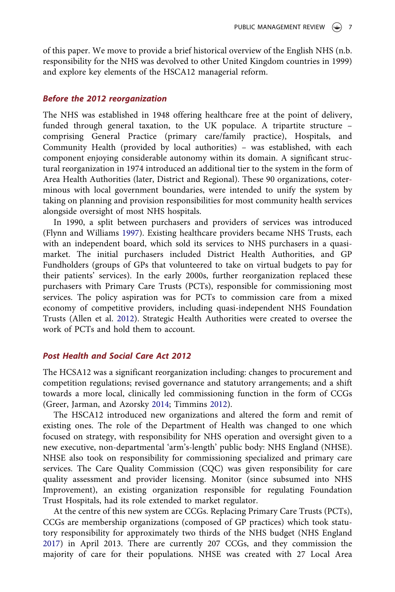of this paper. We move to provide a brief historical overview of the English NHS (n.b. responsibility for the NHS was devolved to other United Kingdom countries in 1999) and explore key elements of the HSCA12 managerial reform.

#### Before the 2012 reorganization

The NHS was established in 1948 offering healthcare free at the point of delivery, funded through general taxation, to the UK populace. A tripartite structure – comprising General Practice (primary care/family practice), Hospitals, and Community Health (provided by local authorities) – was established, with each component enjoying considerable autonomy within its domain. A significant structural reorganization in 1974 introduced an additional tier to the system in the form of Area Health Authorities (later, District and Regional). These 90 organizations, coterminous with local government boundaries, were intended to unify the system by taking on planning and provision responsibilities for most community health services alongside oversight of most NHS hospitals.

<span id="page-8-4"></span><span id="page-8-0"></span>In 1990, a split between purchasers and providers of services was introduced (Flynn and Williams [1997\)](#page-20-11). Existing healthcare providers became NHS Trusts, each with an independent board, which sold its services to NHS purchasers in a quasimarket. The initial purchasers included District Health Authorities, and GP Fundholders (groups of GPs that volunteered to take on virtual budgets to pay for their patients' services). In the early 2000s, further reorganization replaced these purchasers with Primary Care Trusts (PCTs), responsible for commissioning most services. The policy aspiration was for PCTs to commission care from a mixed economy of competitive providers, including quasi-independent NHS Foundation Trusts (Allen et al. [2012](#page-19-8)). Strategic Health Authorities were created to oversee the work of PCTs and hold them to account.

#### Post Health and Social Care Act 2012

<span id="page-8-1"></span>The HCSA12 was a significant reorganization including: changes to procurement and competition regulations; revised governance and statutory arrangements; and a shift towards a more local, clinically led commissioning function in the form of CCGs (Greer, Jarman, and Azorsky [2014](#page-20-12); Timmins [2012](#page-22-9)).

The HSCA12 introduced new organizations and altered the form and remit of existing ones. The role of the Department of Health was changed to one which focused on strategy, with responsibility for NHS operation and oversight given to a new executive, non-departmental 'arm's-length' public body: NHS England (NHSE). NHSE also took on responsibility for commissioning specialized and primary care services. The Care Quality Commission (CQC) was given responsibility for care quality assessment and provider licensing. Monitor (since subsumed into NHS Improvement), an existing organization responsible for regulating Foundation Trust Hospitals, had its role extended to market regulator.

<span id="page-8-3"></span><span id="page-8-2"></span>At the centre of this new system are CCGs. Replacing Primary Care Trusts (PCTs), CCGs are membership organizations (composed of GP practices) which took statutory responsibility for approximately two thirds of the NHS budget (NHS England [2017](#page-20-13)) in April 2013. There are currently 207 CCGs, and they commission the majority of care for their populations. NHSE was created with 27 Local Area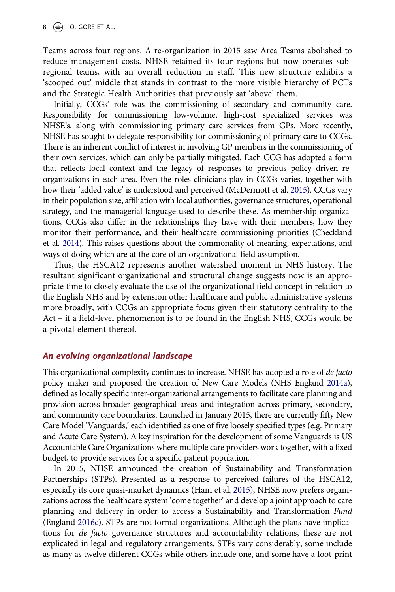<span id="page-9-1"></span>Teams across four regions. A re-organization in 2015 saw Area Teams abolished to reduce management costs. NHSE retained its four regions but now operates subregional teams, with an overall reduction in staff. This new structure exhibits a 'scooped out' middle that stands in contrast to the more visible hierarchy of PCTs and the Strategic Health Authorities that previously sat 'above' them.

<span id="page-9-2"></span>Initially, CCGs' role was the commissioning of secondary and community care. Responsibility for commissioning low-volume, high-cost specialized services was NHSE's, along with commissioning primary care services from GPs. More recently, NHSE has sought to delegate responsibility for commissioning of primary care to CCGs. There is an inherent conflict of interest in involving GP members in the commissioning of their own services, which can only be partially mitigated. Each CCG has adopted a form that reflects local context and the legacy of responses to previous policy driven reorganizations in each area. Even the roles clinicians play in CCGs varies, together with how their 'added value' is understood and perceived (McDermott et al. [2015\)](#page-21-15). CCGs vary in their population size, affiliation with local authorities, governance structures, operational strategy, and the managerial language used to describe these. As membership organizations, CCGs also differ in the relationships they have with their members, how they monitor their performance, and their healthcare commissioning priorities (Checkland et al. [2014](#page-19-9)). This raises questions about the commonality of meaning, expectations, and ways of doing which are at the core of an organizational field assumption.

<span id="page-9-0"></span>Thus, the HSCA12 represents another watershed moment in NHS history. The resultant significant organizational and structural change suggests now is an appropriate time to closely evaluate the use of the organizational field concept in relation to the English NHS and by extension other healthcare and public administrative systems more broadly, with CCGs an appropriate focus given their statutory centrality to the Act – if a field-level phenomenon is to be found in the English NHS, CCGs would be a pivotal element thereof.

#### An evolving organizational landscape

This organizational complexity continues to increase. NHSE has adopted a role of *de facto* policy maker and proposed the creation of New Care Models (NHS England [2014a\)](#page-19-10), defined as locally specific inter-organizational arrangements to facilitate care planning and provision across broader geographical areas and integration across primary, secondary, and community care boundaries. Launched in January 2015, there are currently fifty New Care Model 'Vanguards,' each identified as one of five loosely specified types (e.g. Primary and Acute Care System). A key inspiration for the development of some Vanguards is US Accountable Care Organizations where multiple care providers work together, with a fixed budget, to provide services for a specific patient population.

In 2015, NHSE announced the creation of Sustainability and Transformation Partnerships (STPs). Presented as a response to perceived failures of the HSCA12, especially its core quasi-market dynamics (Ham et al. [2015\)](#page-20-14), NHSE now prefers organizations across the healthcare system 'come together' and develop a joint approach to care planning and delivery in order to access a Sustainability and Transformation *Fund* (England [2016c](#page-20-15)). STPs are not formal organizations. Although the plans have implications for *de facto* governance structures and accountability relations, these are not explicated in legal and regulatory arrangements. STPs vary considerably; some include as many as twelve different CCGs while others include one, and some have a foot-print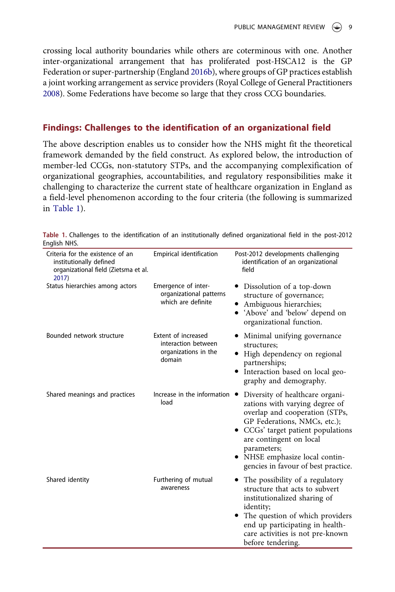crossing local authority boundaries while others are coterminous with one. Another inter-organizational arrangement that has proliferated post-HSCA12 is the GP Federation or super-partnership (England [2016b](#page-19-11)), where groups of GP practices establish a joint working arrangement as service providers (Royal College of General Practitioners [2008\)](#page-21-16). Some Federations have become so large that they cross CCG boundaries.

#### <span id="page-10-0"></span>Findings: Challenges to the identification of an organizational field

The above description enables us to consider how the NHS might fit the theoretical framework demanded by the field construct. As explored below, the introduction of member-led CCGs, non-statutory STPs, and the accompanying complexification of organizational geographies, accountabilities, and regulatory responsibilities make it challenging to characterize the current state of healthcare organization in England as a field-level phenomenon according to the four criteria (the following is summarized in [Table 1\)](#page-9-0).

<span id="page-10-2"></span><span id="page-10-1"></span>

| Criteria for the existence of an<br>institutionally defined<br>organizational field (Zietsma et al.<br>2017) | Empirical identification                                                     | Post-2012 developments challenging<br>identification of an organizational<br>field                                                                                                                                                                                                           |
|--------------------------------------------------------------------------------------------------------------|------------------------------------------------------------------------------|----------------------------------------------------------------------------------------------------------------------------------------------------------------------------------------------------------------------------------------------------------------------------------------------|
| Status hierarchies among actors                                                                              | Emergence of inter-<br>organizational patterns<br>which are definite         | • Dissolution of a top-down<br>structure of governance;<br>Ambiguous hierarchies;<br>• 'Above' and 'below' depend on<br>organizational function.                                                                                                                                             |
| Bounded network structure                                                                                    | Extent of increased<br>interaction between<br>organizations in the<br>domain | Minimal unifying governance<br>structures:<br>• High dependency on regional<br>partnerships;<br>• Interaction based on local geo-<br>graphy and demography.                                                                                                                                  |
| Shared meanings and practices                                                                                | Increase in the information $\bullet$<br>load                                | Diversity of healthcare organi-<br>zations with varying degree of<br>overlap and cooperation (STPs,<br>GP Federations, NMCs, etc.);<br>• CCGs' target patient populations<br>are contingent on local<br>parameters;<br>• NHSE emphasize local contin-<br>gencies in favour of best practice. |
| Shared identity                                                                                              | Furthering of mutual<br>awareness                                            | The possibility of a regulatory<br>٠<br>structure that acts to subvert<br>institutionalized sharing of<br>identity;<br>• The question of which providers<br>end up participating in health-<br>care activities is not pre-known<br>before tendering.                                         |

Table 1. Challenges to the identification of an institutionally defined organizational field in the post-2012 English NHS.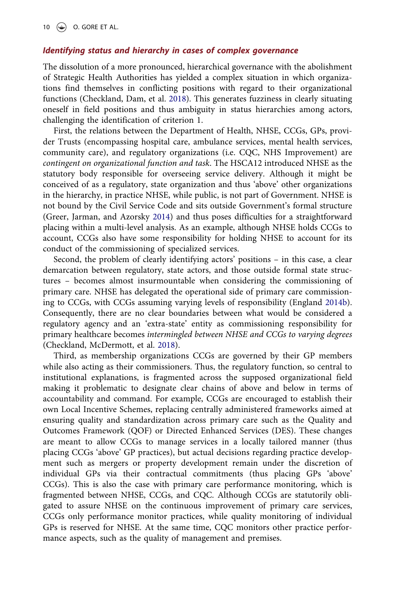#### Identifying status and hierarchy in cases of complex governance

The dissolution of a more pronounced, hierarchical governance with the abolishment of Strategic Health Authorities has yielded a complex situation in which organizations find themselves in conflicting positions with regard to their organizational functions (Checkland, Dam, et al. [2018](#page-19-12)). This generates fuzziness in clearly situating oneself in field positions and thus ambiguity in status hierarchies among actors, challenging the identification of criterion 1.

First, the relations between the Department of Health, NHSE, CCGs, GPs, provider Trusts (encompassing hospital care, ambulance services, mental health services, community care), and regulatory organizations (i.e. CQC, NHS Improvement) are *contingent on organizational function and task*. The HSCA12 introduced NHSE as the statutory body responsible for overseeing service delivery. Although it might be conceived of as a regulatory, state organization and thus 'above' other organizations in the hierarchy, in practice NHSE, while public, is not part of Government. NHSE is not bound by the Civil Service Code and sits outside Government's formal structure (Greer, Jarman, and Azorsky [2014](#page-20-12)) and thus poses difficulties for a straightforward placing within a multi-level analysis. As an example, although NHSE holds CCGs to account, CCGs also have some responsibility for holding NHSE to account for its conduct of the commissioning of specialized services.

Second, the problem of clearly identifying actors' positions – in this case, a clear demarcation between regulatory, state actors, and those outside formal state structures – becomes almost insurmountable when considering the commissioning of primary care. NHSE has delegated the operational side of primary care commissioning to CCGs, with CCGs assuming varying levels of responsibility (England [2014b](#page-19-13)). Consequently, there are no clear boundaries between what would be considered a regulatory agency and an 'extra-state' entity as commissioning responsibility for primary healthcare becomes *intermingled between NHSE and CCGs to varying degrees* (Checkland, McDermott, et al. [2018\)](#page-19-14).

<span id="page-11-1"></span><span id="page-11-0"></span>Third, as membership organizations CCGs are governed by their GP members while also acting as their commissioners. Thus, the regulatory function, so central to institutional explanations, is fragmented across the supposed organizational field making it problematic to designate clear chains of above and below in terms of accountability and command. For example, CCGs are encouraged to establish their own Local Incentive Schemes, replacing centrally administered frameworks aimed at ensuring quality and standardization across primary care such as the Quality and Outcomes Framework (QOF) or Directed Enhanced Services (DES). These changes are meant to allow CCGs to manage services in a locally tailored manner (thus placing CCGs 'above' GP practices), but actual decisions regarding practice development such as mergers or property development remain under the discretion of individual GPs via their contractual commitments (thus placing GPs 'above' CCGs). This is also the case with primary care performance monitoring, which is fragmented between NHSE, CCGs, and CQC. Although CCGs are statutorily obligated to assure NHSE on the continuous improvement of primary care services, CCGs only performance monitor practices, while quality monitoring of individual GPs is reserved for NHSE. At the same time, CQC monitors other practice performance aspects, such as the quality of management and premises.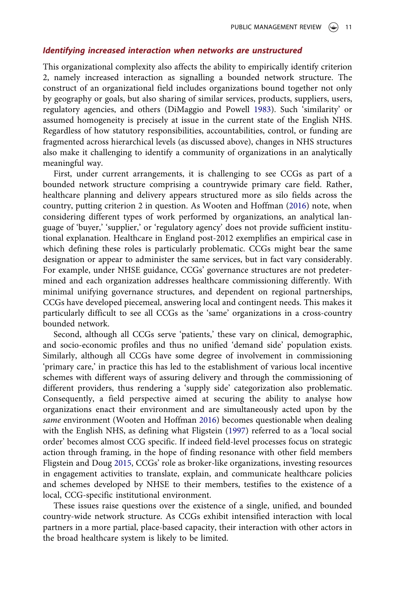#### Identifying increased interaction when networks are unstructured

This organizational complexity also affects the ability to empirically identify criterion 2, namely increased interaction as signalling a bounded network structure. The construct of an organizational field includes organizations bound together not only by geography or goals, but also sharing of similar services, products, suppliers, users, regulatory agencies, and others (DiMaggio and Powell [1983](#page-19-2)). Such 'similarity' or assumed homogeneity is precisely at issue in the current state of the English NHS. Regardless of how statutory responsibilities, accountabilities, control, or funding are fragmented across hierarchical levels (as discussed above), changes in NHS structures also make it challenging to identify a community of organizations in an analytically meaningful way.

<span id="page-12-2"></span>First, under current arrangements, it is challenging to see CCGs as part of a bounded network structure comprising a countrywide primary care field. Rather, healthcare planning and delivery appears structured more as silo fields across the country, putting criterion 2 in question. As Wooten and Hoffman ([2016\)](#page-22-5) note, when considering different types of work performed by organizations, an analytical language of 'buyer,' 'supplier,' or 'regulatory agency' does not provide sufficient institutional explanation. Healthcare in England post-2012 exemplifies an empirical case in which defining these roles is particularly problematic. CCGs might bear the same designation or appear to administer the same services, but in fact vary considerably. For example, under NHSE guidance, CCGs' governance structures are not predetermined and each organization addresses healthcare commissioning differently. With minimal unifying governance structures, and dependent on regional partnerships, CCGs have developed piecemeal, answering local and contingent needs. This makes it particularly difficult to see all CCGs as the 'same' organizations in a cross-country bounded network.

<span id="page-12-1"></span>Second, although all CCGs serve 'patients,' these vary on clinical, demographic, and socio-economic profiles and thus no unified 'demand side' population exists. Similarly, although all CCGs have some degree of involvement in commissioning 'primary care,' in practice this has led to the establishment of various local incentive schemes with different ways of assuring delivery and through the commissioning of different providers, thus rendering a 'supply side' categorization also problematic. Consequently, a field perspective aimed at securing the ability to analyse how organizations enact their environment and are simultaneously acted upon by the *same* environment (Wooten and Hoffman [2016](#page-22-5)) becomes questionable when dealing with the English NHS, as defining what Fligstein ([1997\)](#page-20-16) referred to as a 'local social order' becomes almost CCG specific. If indeed field-level processes focus on strategic action through framing, in the hope of finding resonance with other field members Fligstein and Doug [2015](#page-20-17), CCGs' role as broker-like organizations, investing resources in engagement activities to translate, explain, and communicate healthcare policies and schemes developed by NHSE to their members, testifies to the existence of a local, CCG-specific institutional environment.

<span id="page-12-0"></span>These issues raise questions over the existence of a single, unified, and bounded country-wide network structure. As CCGs exhibit intensified interaction with local partners in a more partial, place-based capacity, their interaction with other actors in the broad healthcare system is likely to be limited.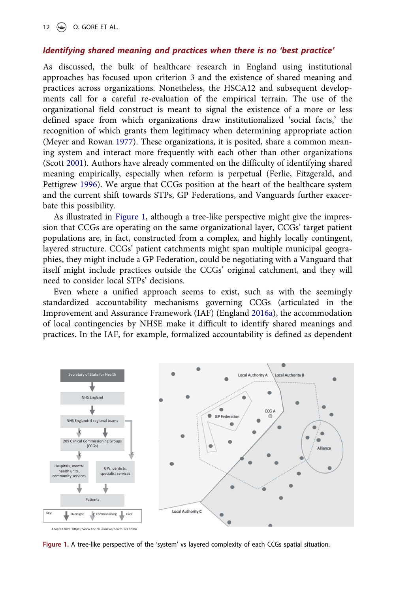12  $\left(\bigstar\right)$  O. GORE ET AL.

#### Identifying shared meaning and practices when there is no 'best practice'

As discussed, the bulk of healthcare research in England using institutional approaches has focused upon criterion 3 and the existence of shared meaning and practices across organizations. Nonetheless, the HSCA12 and subsequent developments call for a careful re-evaluation of the empirical terrain. The use of the organizational field construct is meant to signal the existence of a more or less defined space from which organizations draw institutionalized 'social facts,' the recognition of which grants them legitimacy when determining appropriate action (Meyer and Rowan [1977\)](#page-21-8). These organizations, it is posited, share a common meaning system and interact more frequently with each other than other organizations (Scott [2001\)](#page-22-0). Authors have already commented on the difficulty of identifying shared meaning empirically, especially when reform is perpetual (Ferlie, Fitzgerald, and Pettigrew [1996\)](#page-20-18). We argue that CCGs position at the heart of the healthcare system and the current shift towards STPs, GP Federations, and Vanguards further exacerbate this possibility.

As illustrated in [Figure 1](#page-12-0), although a tree-like perspective might give the impression that CCGs are operating on the same organizational layer, CCGs' target patient populations are, in fact, constructed from a complex, and highly locally contingent, layered structure. CCGs' patient catchments might span multiple municipal geographies, they might include a GP Federation, could be negotiating with a Vanguard that itself might include practices outside the CCGs' original catchment, and they will need to consider local STPs' decisions.

Even where a unified approach seems to exist, such as with the seemingly standardized accountability mechanisms governing CCGs (articulated in the Improvement and Assurance Framework (IAF) (England [2016a](#page-19-15)), the accommodation of local contingencies by NHSE make it difficult to identify shared meanings and practices. In the IAF, for example, formalized accountability is defined as dependent

<span id="page-13-2"></span><span id="page-13-0"></span>

<span id="page-13-1"></span>Figure 1. A tree-like perspective of the 'system' vs layered complexity of each CCGs spatial situation.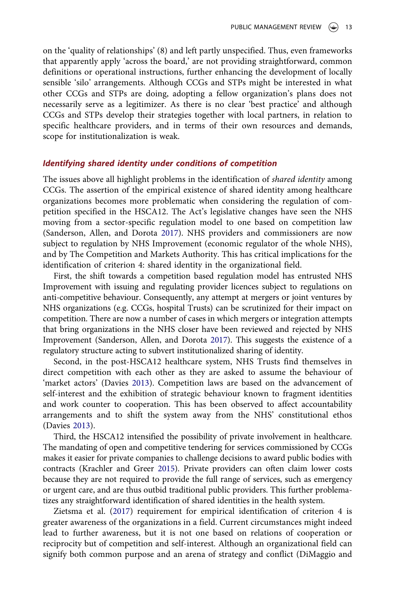on the 'quality of relationships' (8) and left partly unspecified. Thus, even frameworks that apparently apply 'across the board,' are not providing straightforward, common definitions or operational instructions, further enhancing the development of locally sensible 'silo' arrangements. Although CCGs and STPs might be interested in what other CCGs and STPs are doing, adopting a fellow organization's plans does not necessarily serve as a legitimizer. As there is no clear 'best practice' and although CCGs and STPs develop their strategies together with local partners, in relation to specific healthcare providers, and in terms of their own resources and demands, scope for institutionalization is weak.

#### <span id="page-14-2"></span><span id="page-14-1"></span>Identifying shared identity under conditions of competition

The issues above all highlight problems in the identification of *shared identity* among CCGs. The assertion of the empirical existence of shared identity among healthcare organizations becomes more problematic when considering the regulation of competition specified in the HSCA12. The Act's legislative changes have seen the NHS moving from a sector-specific regulation model to one based on competition law (Sanderson, Allen, and Dorota [2017\)](#page-21-17). NHS providers and commissioners are now subject to regulation by NHS Improvement (economic regulator of the whole NHS), and by The Competition and Markets Authority. This has critical implications for the identification of criterion 4: shared identity in the organizational field.

First, the shift towards a competition based regulation model has entrusted NHS Improvement with issuing and regulating provider licences subject to regulations on anti-competitive behaviour. Consequently, any attempt at mergers or joint ventures by NHS organizations (e.g. CCGs, hospital Trusts) can be scrutinized for their impact on competition. There are now a number of cases in which mergers or integration attempts that bring organizations in the NHS closer have been reviewed and rejected by NHS Improvement (Sanderson, Allen, and Dorota [2017](#page-21-17)). This suggests the existence of a regulatory structure acting to subvert institutionalized sharing of identity.

Second, in the post-HSCA12 healthcare system, NHS Trusts find themselves in direct competition with each other as they are asked to assume the behaviour of 'market actors' (Davies [2013](#page-19-16)). Competition laws are based on the advancement of self-interest and the exhibition of strategic behaviour known to fragment identities and work counter to cooperation. This has been observed to affect accountability arrangements and to shift the system away from the NHS' constitutional ethos (Davies [2013\)](#page-19-16).

<span id="page-14-4"></span>Third, the HSCA12 intensified the possibility of private involvement in healthcare. The mandating of open and competitive tendering for services commissioned by CCGs makes it easier for private companies to challenge decisions to award public bodies with contracts (Krachler and Greer [2015\)](#page-21-18). Private providers can often claim lower costs because they are not required to provide the full range of services, such as emergency or urgent care, and are thus outbid traditional public providers. This further problematizes any straightforward identification of shared identities in the health system.

<span id="page-14-3"></span><span id="page-14-0"></span>Zietsma et al. [\(2017\)](#page-22-3) requirement for empirical identification of criterion 4 is greater awareness of the organizations in a field. Current circumstances might indeed lead to further awareness, but it is not one based on relations of cooperation or reciprocity but of competition and self-interest. Although an organizational field can signify both common purpose and an arena of strategy and conflict (DiMaggio and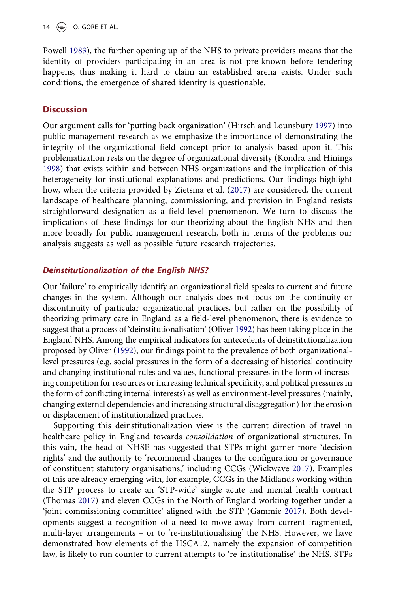14  $\left(\frac{1}{2}\right)$  O. GORE ET AL.

Powell [1983\)](#page-19-2), the further opening up of the NHS to private providers means that the identity of providers participating in an area is not pre-known before tendering happens, thus making it hard to claim an established arena exists. Under such conditions, the emergence of shared identity is questionable.

#### **Discussion**

Our argument calls for 'putting back organization' (Hirsch and Lounsbury [1997\)](#page-20-19) into public management research as we emphasize the importance of demonstrating the integrity of the organizational field concept prior to analysis based upon it. This problematization rests on the degree of organizational diversity (Kondra and Hinings [1998](#page-21-19)) that exists within and between NHS organizations and the implication of this heterogeneity for institutional explanations and predictions. Our findings highlight how, when the criteria provided by Zietsma et al. ([2017](#page-22-3)) are considered, the current landscape of healthcare planning, commissioning, and provision in England resists straightforward designation as a field-level phenomenon. We turn to discuss the implications of these findings for our theorizing about the English NHS and then more broadly for public management research, both in terms of the problems our analysis suggests as well as possible future research trajectories.

#### Deinstitutionalization of the English NHS?

Our 'failure' to empirically identify an organizational field speaks to current and future changes in the system. Although our analysis does not focus on the continuity or discontinuity of particular organizational practices, but rather on the possibility of theorizing primary care in England as a field-level phenomenon, there is evidence to suggest that a process of 'deinstitutionalisation' (Oliver [1992\)](#page-21-3) has been taking place in the England NHS. Among the empirical indicators for antecedents of deinstitutionalization proposed by Oliver [\(1992](#page-21-3)), our findings point to the prevalence of both organizationallevel pressures (e.g. social pressures in the form of a decreasing of historical continuity and changing institutional rules and values, functional pressures in the form of increasing competition for resources or increasing technical specificity, and political pressures in the form of conflicting internal interests) as well as environment-level pressures (mainly, changing external dependencies and increasing structural disaggregation) for the erosion or displacement of institutionalized practices.

<span id="page-15-0"></span>Supporting this deinstitutionalization view is the current direction of travel in healthcare policy in England towards *consolidation* of organizational structures. In this vain, the head of NHSE has suggested that STPs might garner more 'decision rights' and the authority to 'recommend changes to the configuration or governance of constituent statutory organisations,' including CCGs (Wickwave [2017](#page-22-10)). Examples of this are already emerging with, for example, CCGs in the Midlands working within the STP process to create an 'STP-wide' single acute and mental health contract (Thomas [2017\)](#page-22-11) and eleven CCGs in the North of England working together under a 'joint commissioning committee' aligned with the STP (Gammie [2017\)](#page-20-20). Both developments suggest a recognition of a need to move away from current fragmented, multi-layer arrangements – or to 're-institutionalising' the NHS. However, we have demonstrated how elements of the HSCA12, namely the expansion of competition law, is likely to run counter to current attempts to 're-institutionalise' the NHS. STPs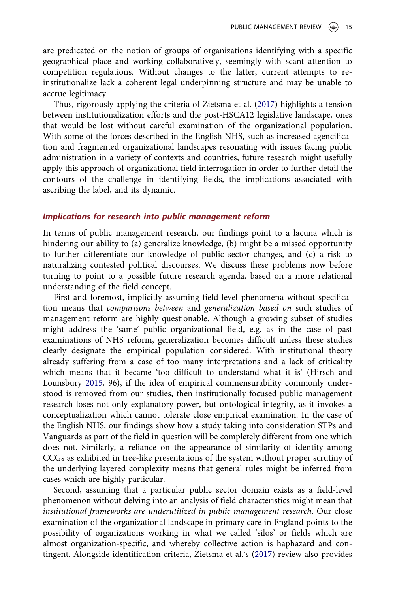are predicated on the notion of groups of organizations identifying with a specific geographical place and working collaboratively, seemingly with scant attention to competition regulations. Without changes to the latter, current attempts to reinstitutionalize lack a coherent legal underpinning structure and may be unable to accrue legitimacy.

Thus, rigorously applying the criteria of Zietsma et al. [\(2017](#page-22-3)) highlights a tension between institutionalization efforts and the post-HSCA12 legislative landscape, ones that would be lost without careful examination of the organizational population. With some of the forces described in the English NHS, such as increased agencification and fragmented organizational landscapes resonating with issues facing public administration in a variety of contexts and countries, future research might usefully apply this approach of organizational field interrogation in order to further detail the contours of the challenge in identifying fields, the implications associated with ascribing the label, and its dynamic.

#### Implications for research into public management reform

In terms of public management research, our findings point to a lacuna which is hindering our ability to (a) generalize knowledge, (b) might be a missed opportunity to further differentiate our knowledge of public sector changes, and (c) a risk to naturalizing contested political discourses. We discuss these problems now before turning to point to a possible future research agenda, based on a more relational understanding of the field concept.

<span id="page-16-0"></span>First and foremost, implicitly assuming field-level phenomena without specification means that *comparisons between* and *generalization based on* such studies of management reform are highly questionable. Although a growing subset of studies might address the 'same' public organizational field, e.g. as in the case of past examinations of NHS reform, generalization becomes difficult unless these studies clearly designate the empirical population considered. With institutional theory already suffering from a case of too many interpretations and a lack of criticality which means that it became 'too difficult to understand what it is' (Hirsch and Lounsbury [2015,](#page-20-21) 96), if the idea of empirical commensurability commonly understood is removed from our studies, then institutionally focused public management research loses not only explanatory power, but ontological integrity, as it invokes a conceptualization which cannot tolerate close empirical examination. In the case of the English NHS, our findings show how a study taking into consideration STPs and Vanguards as part of the field in question will be completely different from one which does not. Similarly, a reliance on the appearance of similarity of identity among CCGs as exhibited in tree-like presentations of the system without proper scrutiny of the underlying layered complexity means that general rules might be inferred from cases which are highly particular.

Second, assuming that a particular public sector domain exists as a field-level phenomenon without delving into an analysis of field characteristics might mean that *institutional frameworks are underutilized in public management research*. Our close examination of the organizational landscape in primary care in England points to the possibility of organizations working in what we called 'silos' or fields which are almost organization-specific, and whereby collective action is haphazard and contingent. Alongside identification criteria, Zietsma et al.'s [\(2017](#page-22-3)) review also provides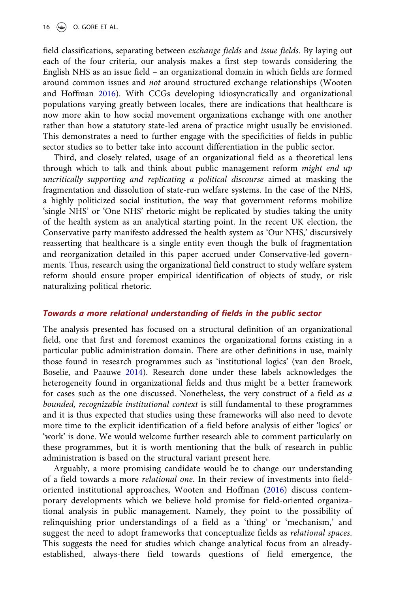field classifications, separating between *exchange fields* and *issue fields*. By laying out each of the four criteria, our analysis makes a first step towards considering the English NHS as an issue field – an organizational domain in which fields are formed around common issues and *not* around structured exchange relationships (Wooten and Hoffman [2016](#page-22-5)). With CCGs developing idiosyncratically and organizational populations varying greatly between locales, there are indications that healthcare is now more akin to how social movement organizations exchange with one another rather than how a statutory state-led arena of practice might usually be envisioned. This demonstrates a need to further engage with the specificities of fields in public sector studies so to better take into account differentiation in the public sector.

Third, and closely related, usage of an organizational field as a theoretical lens through which to talk and think about public management reform *might end up uncritically supporting and replicating a political discourse* aimed at masking the fragmentation and dissolution of state-run welfare systems. In the case of the NHS, a highly politicized social institution, the way that government reforms mobilize 'single NHS' or 'One NHS' rhetoric might be replicated by studies taking the unity of the health system as an analytical starting point. In the recent UK election, the Conservative party manifesto addressed the health system as 'Our NHS,' discursively reasserting that healthcare is a single entity even though the bulk of fragmentation and reorganization detailed in this paper accrued under Conservative-led governments. Thus, research using the organizational field construct to study welfare system reform should ensure proper empirical identification of objects of study, or risk naturalizing political rhetoric.

#### Towards a more relational understanding of fields in the public sector

The analysis presented has focused on a structural definition of an organizational field, one that first and foremost examines the organizational forms existing in a particular public administration domain. There are other definitions in use, mainly those found in research programmes such as 'institutional logics' (van den Broek, Boselie, and Paauwe [2014\)](#page-22-12). Research done under these labels acknowledges the heterogeneity found in organizational fields and thus might be a better framework for cases such as the one discussed. Nonetheless, the very construct of a field *as a bounded, recognizable institutional context* is still fundamental to these programmes and it is thus expected that studies using these frameworks will also need to devote more time to the explicit identification of a field before analysis of either 'logics' or 'work' is done. We would welcome further research able to comment particularly on these programmes, but it is worth mentioning that the bulk of research in public administration is based on the structural variant present here.

Arguably, a more promising candidate would be to change our understanding of a field towards a more *relational one*. In their review of investments into fieldoriented institutional approaches, Wooten and Hoffman [\(2016\)](#page-22-5) discuss contemporary developments which we believe hold promise for field-oriented organizational analysis in public management. Namely, they point to the possibility of relinquishing prior understandings of a field as a 'thing' or 'mechanism,' and suggest the need to adopt frameworks that conceptualize fields as *relational spaces*. This suggests the need for studies which change analytical focus from an alreadyestablished, always-there field towards questions of field emergence, the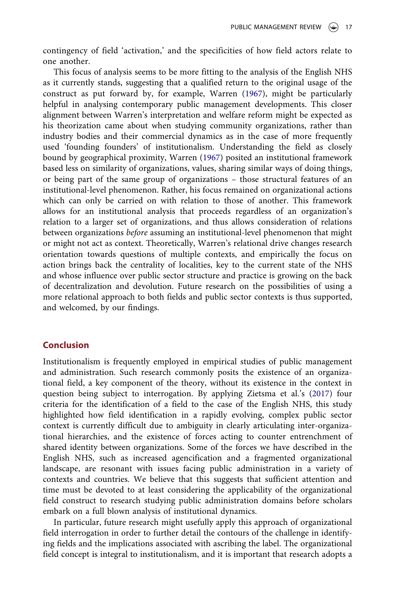contingency of field 'activation,' and the specificities of how field actors relate to one another.

This focus of analysis seems to be more fitting to the analysis of the English NHS as it currently stands, suggesting that a qualified return to the original usage of the construct as put forward by, for example, Warren [\(1967\)](#page-22-6), might be particularly helpful in analysing contemporary public management developments. This closer alignment between Warren's interpretation and welfare reform might be expected as his theorization came about when studying community organizations, rather than industry bodies and their commercial dynamics as in the case of more frequently used 'founding founders' of institutionalism. Understanding the field as closely bound by geographical proximity, Warren [\(1967](#page-22-6)) posited an institutional framework based less on similarity of organizations, values, sharing similar ways of doing things, or being part of the same group of organizations – those structural features of an institutional-level phenomenon. Rather, his focus remained on organizational actions which can only be carried on with relation to those of another. This framework allows for an institutional analysis that proceeds regardless of an organization's relation to a larger set of organizations, and thus allows consideration of relations between organizations *before* assuming an institutional-level phenomenon that might or might not act as context. Theoretically, Warren's relational drive changes research orientation towards questions of multiple contexts, and empirically the focus on action brings back the centrality of localities, key to the current state of the NHS and whose influence over public sector structure and practice is growing on the back of decentralization and devolution. Future research on the possibilities of using a more relational approach to both fields and public sector contexts is thus supported, and welcomed, by our findings.

#### Conclusion

Institutionalism is frequently employed in empirical studies of public management and administration. Such research commonly posits the existence of an organizational field, a key component of the theory, without its existence in the context in question being subject to interrogation. By applying Zietsma et al.'s ([2017\)](#page-22-3) four criteria for the identification of a field to the case of the English NHS, this study highlighted how field identification in a rapidly evolving, complex public sector context is currently difficult due to ambiguity in clearly articulating inter-organizational hierarchies, and the existence of forces acting to counter entrenchment of shared identity between organizations. Some of the forces we have described in the English NHS, such as increased agencification and a fragmented organizational landscape, are resonant with issues facing public administration in a variety of contexts and countries. We believe that this suggests that sufficient attention and time must be devoted to at least considering the applicability of the organizational field construct to research studying public administration domains before scholars embark on a full blown analysis of institutional dynamics.

In particular, future research might usefully apply this approach of organizational field interrogation in order to further detail the contours of the challenge in identifying fields and the implications associated with ascribing the label. The organizational field concept is integral to institutionalism, and it is important that research adopts a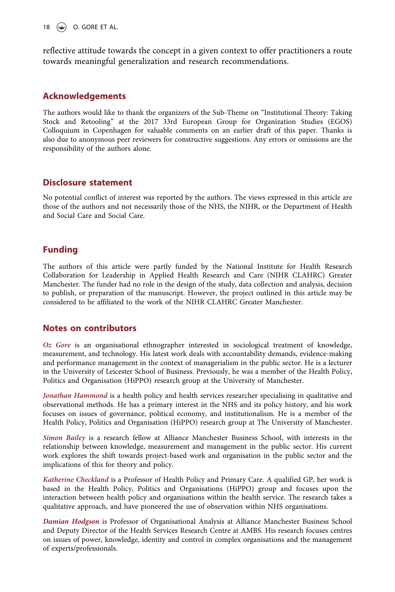18  $\left(\frac{1}{2}\right)$  O. GORE ET AL.

reflective attitude towards the concept in a given context to offer practitioners a route towards meaningful generalization and research recommendations.

#### Acknowledgements

The authors would like to thank the organizers of the Sub-Theme on "Institutional Theory: Taking Stock and Retooling" at the 2017 33rd European Group for Organization Studies (EGOS) Colloquium in Copenhagen for valuable comments on an earlier draft of this paper. Thanks is also due to anonymous peer reviewers for constructive suggestions. Any errors or omissions are the responsibility of the authors alone.

#### <span id="page-19-7"></span><span id="page-19-3"></span>Disclosure statement

<span id="page-19-8"></span>No potential conflict of interest was reported by the authors. The views expressed in this article are those of the authors and not necessarily those of the NHS, the NIHR, or the Department of Health and Social Care and Social Care.

#### <span id="page-19-1"></span><span id="page-19-0"></span>Funding

<span id="page-19-12"></span><span id="page-19-5"></span>The authors of this article were partly funded by the National Institute for Health Research Collaboration for Leadership in Applied Health Research and Care (NIHR CLAHRC) Greater Manchester. The funder had no role in the design of the study, data collection and analysis, decision to publish, or preparation of the manuscript. However, the project outlined in this article may be considered to be affiliated to the work of the NIHR CLAHRC Greater Manchester.

#### <span id="page-19-14"></span>Notes on contributors

<span id="page-19-9"></span>Oz Gore is an organisational ethnographer interested in sociological treatment of knowledge, measurement, and technology. His latest work deals with accountability demands, evidence-making and performance management in the context of managerialism in the public sector. He is a lecturer in the University of Leicester School of Business. Previously, he was a member of the Health Policy, Politics and Organisation (HiPPO) research group at the University of Manchester.

<span id="page-19-6"></span><span id="page-19-4"></span>Jonathan Hammond is a health policy and health services researcher specialising in qualitative and observational methods. He has a primary interest in the NHS and its policy history, and his work focuses on issues of governance, political economy, and institutionalism. He is a member of the Health Policy, Politics and Organisation (HiPPO) research group at The University of Manchester.

<span id="page-19-16"></span><span id="page-19-2"></span>Simon Bailey is a research fellow at Alliance Manchester Business School, with interests in the relationship between knowledge, measurement and management in the public sector. His current work explores the shift towards project-based work and organisation in the public sector and the implications of this for theory and policy.

<span id="page-19-13"></span><span id="page-19-10"></span>Katherine Checkland is a Professor of Health Policy and Primary Care. A qualified GP, her work is based in the Health Policy, Politics and Organisations (HiPPO) group and focuses upon the interaction between health policy and organisations within the health service. The research takes a qualitative approach, and have pioneered the use of observation within NHS organisations.

<span id="page-19-15"></span><span id="page-19-11"></span>Damian Hodgson is Professor of Organisational Analysis at Alliance Manchester Business School and Deputy Director of the Health Services Research Centre at AMBS. His research focuses centres on issues of power, knowledge, identity and control in complex organisations and the management of experts/professionals.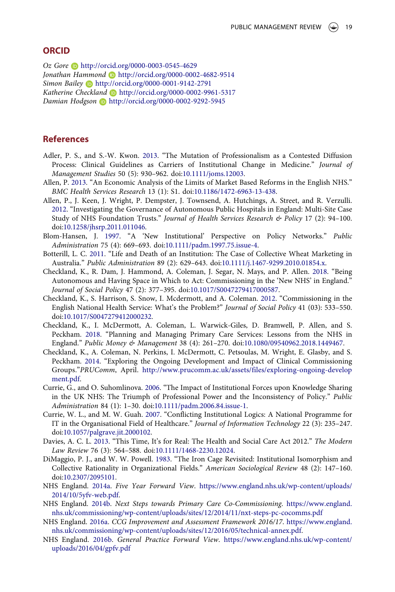#### <span id="page-20-15"></span>**ORCID**

<span id="page-20-13"></span><span id="page-20-7"></span>*Oz Gore* http://orcid.org/0000-0003-0545-4629 *Jonathan Hammond* http://orcid.org/0000-0002-4682-9514 *Simon Bailey* http://orcid.org/0000-0001-9142-2791 *Katherine Checkland* http://orcid.org/0000-0002-9961-5317 *Damian Hodgson* http://orcid.org/0000-0002-9292-5945

#### <span id="page-20-18"></span><span id="page-20-10"></span>References

- <span id="page-20-0"></span>Adler, P. S., and S.-W. Kwon. [2013](#page-4-0). "The Mutation of Professionalism as a Contested Diffusion Process: Clinical Guidelines as Carriers of Institutional Change in Medicine." *Journal of Management Studies* 50 (5): 930–962. doi:[10.1111/joms.12003.](https://doi.org/10.1111/joms.12003)
- <span id="page-20-16"></span>Allen, P. [2013](#page-6-0). "An Economic Analysis of the Limits of Market Based Reforms in the English NHS." *BMC Health Services Research* 13 (1): S1. doi:[10.1186/1472-6963-13-438.](https://doi.org/10.1186/1472-6963-13-438)
- <span id="page-20-17"></span><span id="page-20-11"></span>Allen, P., J. Keen, J. Wright, P. Dempster, J. Townsend, A. Hutchings, A. Street, and R. Verzulli. [2012](#page-7-0). "Investigating the Governance of Autonomous Public Hospitals in England: Multi-Site Case Study of NHS Foundation Trusts." *Journal of Health Services Research & Policy* 17 (2): 94–100. doi:[10.1258/jhsrp.2011.011046](https://doi.org/10.1258/jhsrp.2011.011046).
- <span id="page-20-5"></span>Blom-Hansen, J. [1997.](#page-3-0) "A 'New Institutional' Perspective on Policy Networks." *Public Administration* 75 (4): 669–693. doi:[10.1111/padm.1997.75.issue-4](https://doi.org/10.1111/padm.1997.75.issue-4).
- <span id="page-20-8"></span>Botterill, L. C. [2011.](#page-1-2) "Life and Death of an Institution: The Case of Collective Wheat Marketing in Australia." *Public Administration* 89 (2): 629–643. doi:[10.1111/j.1467-9299.2010.01854.x.](https://doi.org/10.1111/j.1467-9299.2010.01854.x)
- <span id="page-20-20"></span>Checkland, K., R. Dam, J. Hammond, A. Coleman, J. Segar, N. Mays, and P. Allen. [2018](#page-10-0). "Being Autonomous and Having Space in Which to Act: Commissioning in the 'New NHS' in England." *Journal of Social Policy* 47 (2): 377–395. doi:[10.1017/S0047279417000587.](https://doi.org/10.1017/S0047279417000587)
- <span id="page-20-6"></span>Checkland, K., S. Harrison, S. Snow, I. Mcdermott, and A. Coleman. [2012](#page-5-0). "Commissioning in the English National Health Service: What's the Problem?" *Journal of Social Policy* 41 (03): 533–550. doi:[10.1017/S0047279412000232.](https://doi.org/10.1017/S0047279412000232)
- <span id="page-20-2"></span>Checkland, K., I. McDermott, A. Coleman, L. Warwick-Giles, D. Bramwell, P. Allen, and S. Peckham. [2018.](#page-10-1) "Planning and Managing Primary Care Services: Lessons from the NHS in England." *Public Money & Management* 38 (4): 261–270. doi:[10.1080/09540962.2018.1449467.](https://doi.org/10.1080/09540962.2018.1449467)
- <span id="page-20-12"></span>Checkland, K., A. Coleman, N. Perkins, I. McDermott, C. Petsoulas, M. Wright, E. Glasby, and S. Peckham. [2014](#page-8-0). "Exploring the Ongoing Development and Impact of Clinical Commissioning Groups."*PRUComm*, April. [http://www.prucomm.ac.uk/assets/files/exploring-ongoing-develop](http://www.prucomm.ac.uk/assets/files/exploring-ongoing-development.pdf) [ment.pdf](http://www.prucomm.ac.uk/assets/files/exploring-ongoing-development.pdf).
- <span id="page-20-3"></span>Currie, G., and O. Suhomlinova. [2006.](#page-5-1) "The Impact of Institutional Forces upon Knowledge Sharing in the UK NHS: The Triumph of Professional Power and the Inconsistency of Policy." *Public Administration* 84 (1): 1–30. doi:[10.1111/padm.2006.84.issue-1.](https://doi.org/10.1111/padm.2006.84.issue-1)
- <span id="page-20-14"></span>Currie, W. L., and M. W. Guah. [2007](#page-6-1). "Conflicting Institutional Logics: A National Programme for IT in the Organisational Field of Healthcare." *Journal of Information Technology* 22 (3): 235–247. doi:[10.1057/palgrave.jit.2000102](https://doi.org/10.1057/palgrave.jit.2000102).
- <span id="page-20-9"></span>Davies, A. C. L. [2013](#page-13-0). "This Time, It's for Real: The Health and Social Care Act 2012." *The Modern Law Review* 76 (3): 564–588. doi:[10.1111/1468-2230.12024](https://doi.org/10.1111/1468-2230.12024).
- <span id="page-20-21"></span>DiMaggio, P. J., and W. W. Powell. [1983.](#page-3-1) "The Iron Cage Revisited: Institutional Isomorphism and Collective Rationality in Organizational Fields." *American Sociological Review* 48 (2): 147–160. doi:[10.2307/2095101.](https://doi.org/10.2307/2095101)
- <span id="page-20-19"></span>NHS England. [2014a](#page-8-1). *Five Year Forward View*. [https://www.england.nhs.uk/wp-content/uploads/](https://www.england.nhs.uk/wp-content/uploads/2014/10/5yfv-web.pdf) [2014/10/5yfv-web.pdf.](https://www.england.nhs.uk/wp-content/uploads/2014/10/5yfv-web.pdf)
- <span id="page-20-1"></span>NHS England. [2014b](#page-10-2). *Next Steps towards Primary Care Co-Commissioning*. [https://www.england.](https://www.england.nhs.uk/commissioning/wp-content/uploads/sites/12/2014/11/nxt-steps-pc-cocomms.pdf) [nhs.uk/commissioning/wp-content/uploads/sites/12/2014/11/nxt-steps-pc-cocomms.pdf](https://www.england.nhs.uk/commissioning/wp-content/uploads/sites/12/2014/11/nxt-steps-pc-cocomms.pdf)
- NHS England. [2016a.](#page-12-1) *CCG Improvement and Assessment Framework 2016/17*. [https://www.england.](https://www.england.nhs.uk/commissioning/wp-content/uploads/sites/12/2016/05/technical-annex.pdf) [nhs.uk/commissioning/wp-content/uploads/sites/12/2016/05/technical-annex.pdf](https://www.england.nhs.uk/commissioning/wp-content/uploads/sites/12/2016/05/technical-annex.pdf).
- <span id="page-20-4"></span>NHS England. [2016b](#page-9-1). *General Practice Forward View*. [https://www.england.nhs.uk/wp-content/](https://www.england.nhs.uk/wp-content/uploads/2016/04/gpfv.pdf) [uploads/2016/04/gpfv.pdf](https://www.england.nhs.uk/wp-content/uploads/2016/04/gpfv.pdf)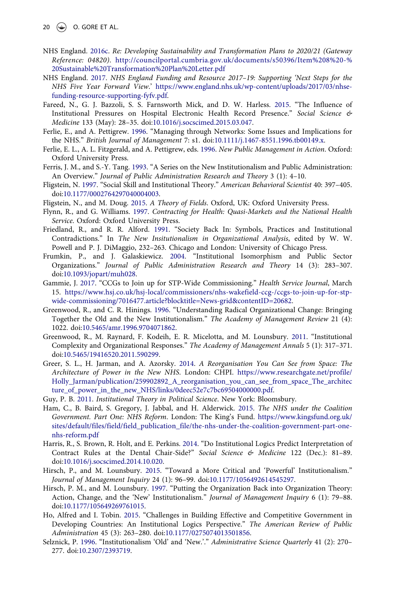20  $\left(\bigcirc\right)$  O. GORE ET AL.

- <span id="page-21-0"></span>NHS England. [2016c.](#page-8-2) *Re: Developing Sustainability and Transformation Plans to 2020/21 (Gateway Reference: 04820)*. [http://councilportal.cumbria.gov.uk/documents/s50396/Item%208%20-%](http://councilportal.cumbria.gov.uk/documents/s50396/Item%208%20-%20Sustainable%20Transformation%20Plan%20Letter.pdf) [20Sustainable%20Transformation%20Plan%20Letter.pdf](http://councilportal.cumbria.gov.uk/documents/s50396/Item%208%20-%20Sustainable%20Transformation%20Plan%20Letter.pdf)
- <span id="page-21-19"></span>NHS England. [2017](#page-7-1). *NHS England Funding and Resource 2017*–*19: Supporting* '*Next Steps for the NHS Five Year Forward View*.' [https://www.england.nhs.uk/wp-content/uploads/2017/03/nhse](https://www.england.nhs.uk/wp-content/uploads/2017/03/nhse-funding-resource-supporting-fyfv.pdf)[funding-resource-supporting-fyfv.pdf](https://www.england.nhs.uk/wp-content/uploads/2017/03/nhse-funding-resource-supporting-fyfv.pdf).
- <span id="page-21-18"></span>Fareed, N., G. J. Bazzoli, S. S. Farnsworth Mick, and D. W. Harless. [2015.](#page-3-2) "The Influence of Institutional Pressures on Hospital Electronic Health Record Presence." *Social Science & Medicine* 133 (May): 28–35. doi:[10.1016/j.socscimed.2015.03.047](https://doi.org/10.1016/j.socscimed.2015.03.047).
- <span id="page-21-10"></span>Ferlie, E., and A. Pettigrew. [1996.](#page-6-0) "Managing through Networks: Some Issues and Implications for the NHS." *British Journal of Management* 7: s1. doi:[10.1111/j.1467-8551.1996.tb00149.x](https://doi.org/10.1111/j.1467-8551.1996.tb00149.x).
- <span id="page-21-5"></span>Ferlie, E. L., A. L. Fitzgerald, and A. Pettigrew, eds. [1996.](#page-12-2) *New Public Management in Action*. Oxford: Oxford University Press.
- <span id="page-21-4"></span>Ferris, J. M., and S.-Y. Tang. [1993](#page-1-3). "A Series on the New Institutionalism and Public Administration: An Overview." *Journal of Public Administration Research and Theory* 3 (1): 4–10.
- <span id="page-21-9"></span>Fligstein, N. [1997](#page-11-0). "Social Skill and Institutional Theory." *American Behavioral Scientist* 40: 397–405. doi:[10.1177/0002764297040004003.](https://doi.org/10.1177/0002764297040004003)
- Fligstein, N., and M. Doug. [2015](#page-11-1). *A Theory of Fields*. Oxford, UK: Oxford University Press.
- <span id="page-21-12"></span>Flynn, R., and G. Williams. [1997](#page-7-2). *Contracting for Health: Quasi-Markets and the National Health Service*. Oxford: Oxford University Press.
- Friedland, R., and R. R. Alford. [1991.](#page-3-3) "Society Back In: Symbols, Practices and Institutional Contradictions." In *The New Insitutionalism in Organizational Analysis*, edited by W. W. Powell and P. J. DiMaggio, 232–263. Chicago and London: University of Chicago Press.
- <span id="page-21-15"></span>Frumkin, P., and J. Galaskiewicz. [2004.](#page-4-1) "Institutional Isomorphism and Public Sector Organizations." *Journal of Public Administration Research and Theory* 14 (3): 283–307. doi:[10.1093/jopart/muh028.](https://doi.org/10.1093/jopart/muh028)
- <span id="page-21-11"></span>Gammie, J. [2017](#page-14-0). "CCGs to Join up for STP-Wide Commissioning." *Health Service Journal*, March 15. [https://www.hsj.co.uk/hsj-local/commissioners/nhs-wakefield-ccg-/ccgs-to-join-up-for-stp](https://www.hsj.co.uk/hsj-local/commissioners/nhs-wakefield-ccg-/ccgs-to-join-up-for-stp-wide-commissioning/7016477.article?blocktitle=News-grid%26contentID=20682)[wide-commissioning/7016477.article?blocktitle=News-grid&contentID=20682](https://www.hsj.co.uk/hsj-local/commissioners/nhs-wakefield-ccg-/ccgs-to-join-up-for-stp-wide-commissioning/7016477.article?blocktitle=News-grid%26contentID=20682).
- <span id="page-21-6"></span>Greenwood, R., and C. R. Hinings. [1996](#page-3-4). "Understanding Radical Organizational Change: Bringing Together the Old and the New Institutionalism." *The Academy of Management Review* 21 (4): 1022. doi:[10.5465/amr.1996.9704071862](https://doi.org/10.5465/amr.1996.9704071862).
- <span id="page-21-14"></span>Greenwood, R., M. Raynard, F. Kodeih, E. R. Micelotta, and M. Lounsbury. [2011.](#page-1-4) "Institutional Complexity and Organizational Responses." *The Academy of Management Annals* 5 (1): 317–371. doi:[10.5465/19416520.2011.590299.](https://doi.org/10.5465/19416520.2011.590299)
- <span id="page-21-8"></span><span id="page-21-2"></span>Greer, S. L., H. Jarman, and A. Azorsky. [2014](#page-7-3). *A Reorganisation You Can See from Space: The Architecture of Power in the New NHS*. London: CHPI. [https://www.researchgate.net/profile/](https://www.researchgate.net/profile/Holly_Jarman/publication/259902892_A_reorganisation_you_can_see_from_space_The_architecture_of_power_in_the_new_NHS/links/0deec52e7c7bc69504000000.pdf) [Holly\\_Jarman/publication/259902892\\_A\\_reorganisation\\_you\\_can\\_see\\_from\\_space\\_The\\_architec](https://www.researchgate.net/profile/Holly_Jarman/publication/259902892_A_reorganisation_you_can_see_from_space_The_architecture_of_power_in_the_new_NHS/links/0deec52e7c7bc69504000000.pdf) [ture\\_of\\_power\\_in\\_the\\_new\\_NHS/links/0deec52e7c7bc69504000000.pdf](https://www.researchgate.net/profile/Holly_Jarman/publication/259902892_A_reorganisation_you_can_see_from_space_The_architecture_of_power_in_the_new_NHS/links/0deec52e7c7bc69504000000.pdf).
- <span id="page-21-3"></span>Guy, P. B. [2011.](#page-3-5) *Institutional Theory in Political Science*. New York: Bloomsbury.
- <span id="page-21-1"></span>Ham, C., B. Baird, S. Gregory, J. Jabbal, and H. Alderwick. [2015](#page-8-3). *The NHS under the Coalition Government. Part One: NHS Reform*. London: The King's Fund. [https://www.kingsfund.org.uk/](https://www.kingsfund.org.uk/sites/default/files/field/field_publication_file/the-nhs-under-the-coalition-government-part-one-nhs-reform.pdf) [sites/default/files/field/field\\_publication\\_file/the-nhs-under-the-coalition-government-part-one](https://www.kingsfund.org.uk/sites/default/files/field/field_publication_file/the-nhs-under-the-coalition-government-part-one-nhs-reform.pdf)[nhs-reform.pdf](https://www.kingsfund.org.uk/sites/default/files/field/field_publication_file/the-nhs-under-the-coalition-government-part-one-nhs-reform.pdf)
- <span id="page-21-13"></span>Harris, R., S. Brown, R. Holt, and E. Perkins. [2014.](#page-5-2) "Do Institutional Logics Predict Interpretation of Contract Rules at the Dental Chair-Side?" *Social Science & Medicine* 122 (Dec.): 81–89. doi:[10.1016/j.socscimed.2014.10.020](https://doi.org/10.1016/j.socscimed.2014.10.020).
- <span id="page-21-7"></span>Hirsch, P., and M. Lounsbury. [2015](#page-15-0). "Toward a More Critical and 'Powerful' Institutionalism." *Journal of Management Inquiry* 24 (1): 96–99. doi:[10.1177/1056492614545297](https://doi.org/10.1177/1056492614545297).
- <span id="page-21-16"></span>Hirsch, P. M., and M. Lounsbury. [1997.](#page-14-1) "Putting the Organization Back into Organization Theory: Action, Change, and the 'New' Institutionalism." *Journal of Management Inquiry* 6 (1): 79–88. doi:[10.1177/105649269761015](https://doi.org/10.1177/105649269761015).
- <span id="page-21-17"></span>Ho, Alfred and I. Tobin. [2015](#page-1-5). "Challenges in Building Effective and Competitive Government in Developing Countries: An Institutional Logics Perspective." *The American Review of Public Administration* 45 (3): 263–280. doi:[10.1177/0275074013501856.](https://doi.org/10.1177/0275074013501856)
- Selznick, P. [1996](#page-3-6). "Institutionalism 'Old' and 'New.'." *Administrative Science Quarterly* 41 (2): 270– 277. doi:[10.2307/2393719.](https://doi.org/10.2307/2393719)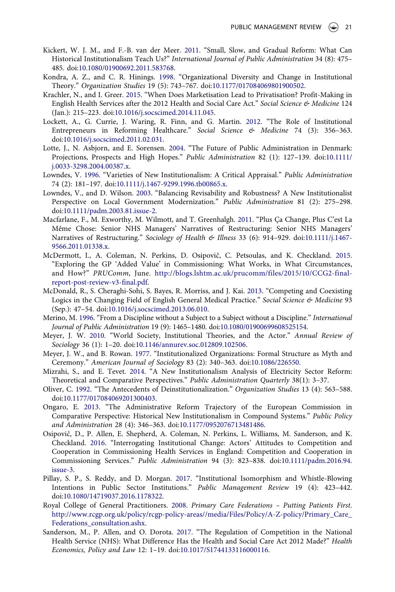- <span id="page-22-4"></span><span id="page-22-0"></span>Kickert, W. J. M., and F.-B. van der Meer. [2011.](#page-1-6) "Small, Slow, and Gradual Reform: What Can Historical Institutionalism Teach Us?" *International Journal of Public Administration* 34 (8): 475– 485. doi:[10.1080/01900692.2011.583768.](https://doi.org/10.1080/01900692.2011.583768)
- <span id="page-22-8"></span>Kondra, A. Z., and C. R. Hinings. [1998](#page-14-2). "Organizational Diversity and Change in Institutional Theory." *Organization Studies* 19 (5): 743–767. doi:[10.1177/017084069801900502](https://doi.org/10.1177/017084069801900502).
- <span id="page-22-1"></span>Krachler, N., and I. Greer. [2015](#page-13-1). "When Does Marketisation Lead to Privatisation? Profit-Making in English Health Services after the 2012 Health and Social Care Act." *Social Science & Medicine* 124 (Jan.): 215–223. doi:[10.1016/j.socscimed.2014.11.045](https://doi.org/10.1016/j.socscimed.2014.11.045).
- <span id="page-22-11"></span>Lockett, A., G. Currie, J. Waring, R. Finn, and G. Martin. [2012.](#page-5-3) "The Role of Institutional Entrepreneurs in Reforming Healthcare." *Social Science & Medicine* 74 (3): 356–363. doi:[10.1016/j.socscimed.2011.02.031](https://doi.org/10.1016/j.socscimed.2011.02.031).
- <span id="page-22-9"></span>Lotte, J., N. Asbjorn, and E. Sorensen. [2004](#page-3-7). "The Future of Public Administration in Denmark: Projections, Prospects and High Hopes." *Public Administration* 82 (1): 127–139. doi:[10.1111/](https://doi.org/10.1111/j.0033-3298.2004.00387.x) [j.0033-3298.2004.00387.x](https://doi.org/10.1111/j.0033-3298.2004.00387.x).
- <span id="page-22-7"></span>Lowndes, V. [1996.](#page-3-8) "Varieties of New Institutionalism: A Critical Appraisal." *Public Administration* 74 (2): 181–197. doi:[10.1111/j.1467-9299.1996.tb00865.x.](https://doi.org/10.1111/j.1467-9299.1996.tb00865.x)
- <span id="page-22-12"></span>Lowndes, V., and D. Wilson. [2003.](#page-4-2) "Balancing Revisability and Robustness? A New Institutionalist Perspective on Local Government Modernization." *Public Administration* 81 (2): 275–298. doi:[10.1111/padm.2003.81.issue-2.](https://doi.org/10.1111/padm.2003.81.issue-2)
- <span id="page-22-6"></span>Macfarlane, F., M. Exworthy, M. Wilmott, and T. Greenhalgh. [2011](#page-5-4). "Plus Ça Change, Plus C'est La Même Chose: Senior NHS Managers' Narratives of Restructuring: Senior NHS Managers' Narratives of Restructuring." *Sociology of Health & Illness* 33 (6): 914–929. doi:[10.1111/j.1467-](https://doi.org/10.1111/j.1467-9566.2011.01338.x) [9566.2011.01338.x.](https://doi.org/10.1111/j.1467-9566.2011.01338.x)
- <span id="page-22-10"></span><span id="page-22-2"></span>McDermott, I., A. Coleman, N. Perkins, D. Osipovič, C. Petsoulas, and K. Checkland. [2015](#page-8-4). "Exploring the GP 'Added Value' in Commissioning: What Works, in What Circumstances, and How?" *PRUComm*, June. [http://blogs.lshtm.ac.uk/prucomm/files/2015/10/CCG2-final](http://blogs.lshtm.ac.uk/prucomm/files/2015/10/CCG2-final-report-post-review-v3-final.pdf)[report-post-review-v3-final.pdf](http://blogs.lshtm.ac.uk/prucomm/files/2015/10/CCG2-final-report-post-review-v3-final.pdf).
- <span id="page-22-5"></span>McDonald, R., S. Cheraghi-Sohi, S. Bayes, R. Morriss, and J. Kai. [2013](#page-5-3). "Competing and Coexisting Logics in the Changing Field of English General Medical Practice." *Social Science & Medicine* 93 (Sep.): 47–54. doi:[10.1016/j.socscimed.2013.06.010](https://doi.org/10.1016/j.socscimed.2013.06.010).
- <span id="page-22-3"></span>Merino, M. [1996](#page-3-7). "From a Discipline without a Subject to a Subject without a Discipline." *International Journal of Public Administration* 19 (9): 1465–1480. doi:[10.1080/01900699608525154.](https://doi.org/10.1080/01900699608525154)
- Meyer, J. W. [2010.](#page-6-2) "World Society, Institutional Theories, and the Actor." *Annual Review of Sociology* 36 (1): 1–20. doi:[10.1146/annurev.soc.012809.102506](https://doi.org/10.1146/annurev.soc.012809.102506).
- Meyer, J. W., and B. Rowan. [1977.](#page-3-1) "Institutionalized Organizations: Formal Structure as Myth and Ceremony." *American Journal of Sociology* 83 (2): 340–363. doi:[10.1086/226550.](https://doi.org/10.1086/226550)
- Mizrahi, S., and E. Tevet. [2014.](#page-1-6) "A New Institutionalism Analysis of Electricity Sector Reform: Theoretical and Comparative Perspectives." *Public Administration Quarterly* 38(1): 3–37.
- Oliver, C. [1992.](#page-2-0) "The Antecedents of Deinstitutionalization." *Organization Studies* 13 (4): 563–588. doi:[10.1177/017084069201300403.](https://doi.org/10.1177/017084069201300403)
- Ongaro, E. [2013](#page-1-6). "The Administrative Reform Trajectory of the European Commission in Comparative Perspective: Historical New Institutionalism in Compound Systems." *Public Policy and Administration* 28 (4): 346–363. doi:[10.1177/0952076713481486](https://doi.org/10.1177/0952076713481486).
- Osipovič, D., P. Allen, E. Shepherd, A. Coleman, N. Perkins, L. Williams, M. Sanderson, and K. Checkland. [2016](#page-5-5). "Interrogating Institutional Change: Actors' Attitudes to Competition and Cooperation in Commissioning Health Services in England: Competition and Cooperation in Commissioning Services." *Public Administration* 94 (3): 823–838. doi:[10.1111/padm.2016.94.](https://doi.org/10.1111/padm.2016.94.issue-3) [issue-3.](https://doi.org/10.1111/padm.2016.94.issue-3)
- Pillay, S. P., S. Reddy, and D. Morgan. [2017](#page-3-2). "Institutional Isomorphism and Whistle-Blowing Intentions in Public Sector Institutions." *Public Management Review* 19 (4): 423–442. doi:[10.1080/14719037.2016.1178322.](https://doi.org/10.1080/14719037.2016.1178322)
- Royal College of General Practitioners. [2008](#page-9-2). *Primary Care Federations Putting Patients First*. [http://www.rcgp.org.uk/policy/rcgp-policy-areas//media/Files/Policy/A-Z-policy/Primary\\_Care\\_](http://www.rcgp.org.uk/policy/rcgp-policy-areas//media/Files/Policy/A-Z-policy/Primary_Care_Federations_consultation.ashx) [Federations\\_consultation.ashx](http://www.rcgp.org.uk/policy/rcgp-policy-areas//media/Files/Policy/A-Z-policy/Primary_Care_Federations_consultation.ashx).
- Sanderson, M., P. Allen, and O. Dorota. [2017](#page-13-2). "The Regulation of Competition in the National Health Service (NHS): What Difference Has the Health and Social Care Act 2012 Made?" *Health Economics, Policy and Law* 12: 1–19. doi:[10.1017/S1744133116000116](https://doi.org/10.1017/S1744133116000116).